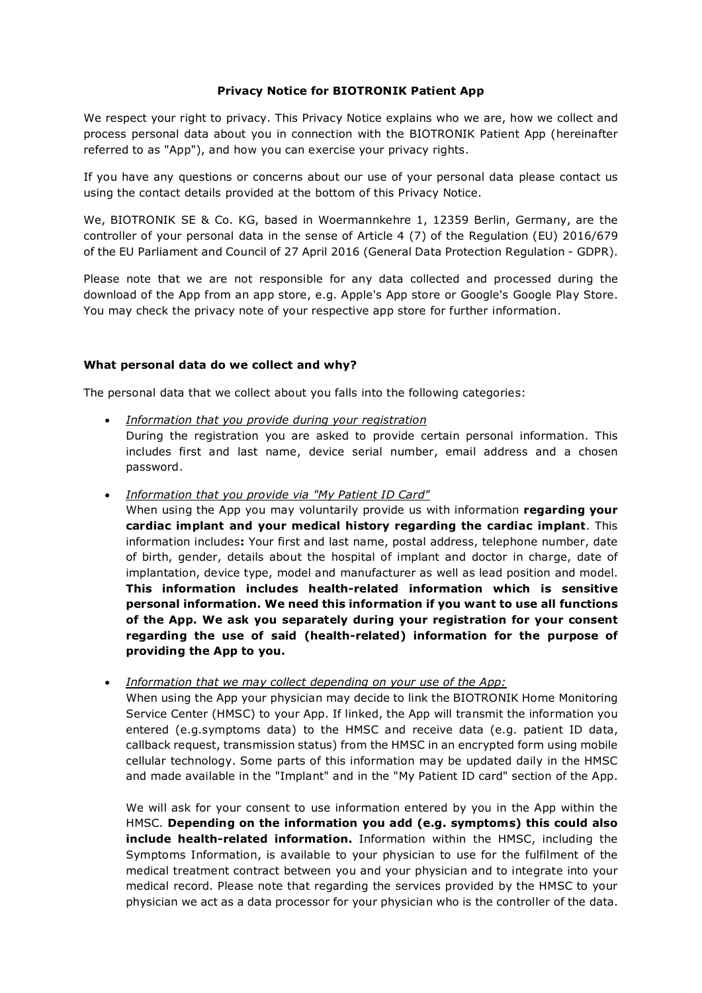### **Privacy Notice for BIOTRONIK Patient App**

We respect your right to privacy. This Privacy Notice explains who we are, how we collect and process personal data about you in connection with the BIOTRONIK Patient App (hereinafter referred to as "App"), and how you can exercise your privacy rights.

If you have any questions or concerns about our use of your personal data please contact us using the contact details provided at the bottom of this Privacy Notice.

We, BIOTRONIK SE & Co. KG, based in Woermannkehre 1, 12359 Berlin, Germany, are the controller of your personal data in the sense of Article 4 (7) of the Regulation (EU) 2016/679 of the EU Parliament and Council of 27 April 2016 (General Data Protection Regulation - GDPR).

Please note that we are not responsible for any data collected and processed during the download of the App from an app store, e.g. Apple's App store or Google's Google Play Store. You may check the privacy note of your respective app store for further information.

#### **What personal data do we collect and why?**

The personal data that we collect about you falls into the following categories:

- *Information that you provide during your registration* During the registration you are asked to provide certain personal information. This includes first and last name, device serial number, email address and a chosen password.
- *Information that you provide via "My Patient ID Card"*

When using the App you may voluntarily provide us with information **regarding your cardiac implant and your medical history regarding the cardiac implant**. This information includes**:** Your first and last name, postal address, telephone number, date of birth, gender, details about the hospital of implant and doctor in charge, date of implantation, device type, model and manufacturer as well as lead position and model. **This information includes health-related information which is sensitive personal information. We need this information if you want to use all functions of the App. We ask you separately during your registration for your consent regarding the use of said (health-related) information for the purpose of providing the App to you.**

• *Information that we may collect depending on your use of the App:*

When using the App your physician may decide to link the BIOTRONIK Home Monitoring Service Center (HMSC) to your App. If linked, the App will transmit the information you entered (e.g.symptoms data) to the HMSC and receive data (e.g. patient ID data, callback request, transmission status) from the HMSC in an encrypted form using mobile cellular technology. Some parts of this information may be updated daily in the HMSC and made available in the "Implant" and in the "My Patient ID card" section of the App.

We will ask for your consent to use information entered by you in the App within the HMSC. **Depending on the information you add (e.g. symptoms) this could also include health-related information.** Information within the HMSC, including the Symptoms Information, is available to your physician to use for the fulfilment of the medical treatment contract between you and your physician and to integrate into your medical record. Please note that regarding the services provided by the HMSC to your physician we act as a data processor for your physician who is the controller of the data.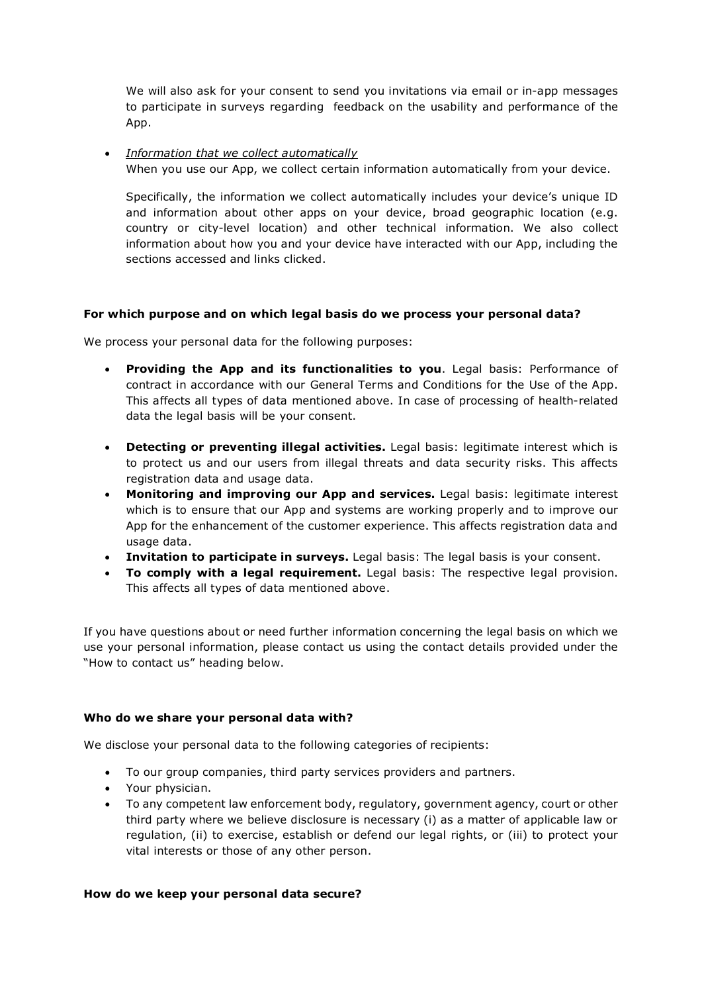We will also ask for your consent to send you invitations via email or in-app messages to participate in surveys regarding feedback on the usability and performance of the App.

• *Information that we collect automatically*

When you use our App, we collect certain information automatically from your device.

Specifically, the information we collect automatically includes your device's unique ID and information about other apps on your device, broad geographic location (e.g. country or city-level location) and other technical information. We also collect information about how you and your device have interacted with our App, including the sections accessed and links clicked.

# **For which purpose and on which legal basis do we process your personal data?**

We process your personal data for the following purposes:

- **Providing the App and its functionalities to you**. Legal basis: Performance of contract in accordance with our General Terms and Conditions for the Use of the App. This affects all types of data mentioned above. In case of processing of health-related data the legal basis will be your consent.
- **Detecting or preventing illegal activities.** Legal basis: legitimate interest which is to protect us and our users from illegal threats and data security risks. This affects registration data and usage data.
- **Monitoring and improving our App and services.** Legal basis: legitimate interest which is to ensure that our App and systems are working properly and to improve our App for the enhancement of the customer experience. This affects registration data and usage data.
- **Invitation to participate in surveys.** Legal basis: The legal basis is your consent.
- **To comply with a legal requirement.** Legal basis: The respective legal provision. This affects all types of data mentioned above.

If you have questions about or need further information concerning the legal basis on which we use your personal information, please contact us using the contact details provided under the "How to contact us" heading below.

# **Who do we share your personal data with?**

We disclose your personal data to the following categories of recipients:

- To our group companies, third party services providers and partners.
- Your physician.
- To any competent law enforcement body, regulatory, government agency, court or other third party where we believe disclosure is necessary (i) as a matter of applicable law or regulation, (ii) to exercise, establish or defend our legal rights, or (iii) to protect your vital interests or those of any other person.

# **How do we keep your personal data secure?**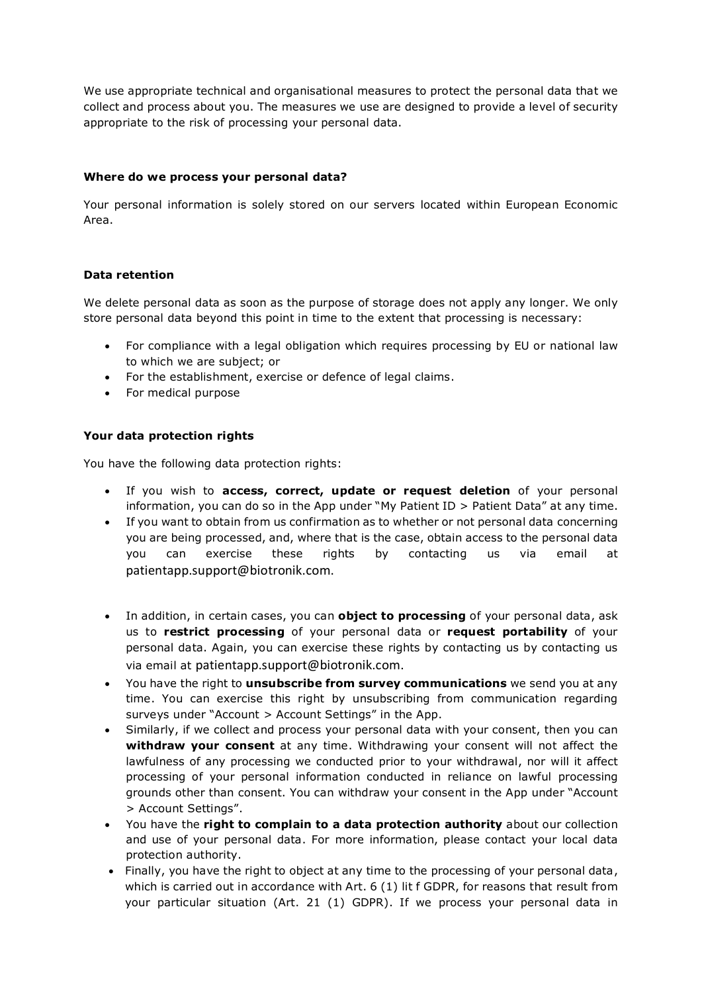We use appropriate technical and organisational measures to protect the personal data that we collect and process about you. The measures we use are designed to provide a level of security appropriate to the risk of processing your personal data.

### **Where do we process your personal data?**

Your personal information is solely stored on our servers located within European Economic Area.

## **Data retention**

We delete personal data as soon as the purpose of storage does not apply any longer. We only store personal data beyond this point in time to the extent that processing is necessary:

- For compliance with a legal obligation which requires processing by EU or national law to which we are subject; or
- For the establishment, exercise or defence of legal claims.
- For medical purpose

## **Your data protection rights**

You have the following data protection rights:

- If you wish to **access, correct, update or request deletion** of your personal information, you can do so in the App under "My Patient ID > Patient Data" at any time.
- If you want to obtain from us confirmation as to whether or not personal data concerning you are being processed, and, where that is the case, obtain access to the personal data you can exercise these rights by contacting us via email at patientapp.support@biotronik.com.
- In addition, in certain cases, you can **object to processing** of your personal data, ask us to **restrict processing** of your personal data or **request portability** of your personal data. Again, you can exercise these rights by contacting us by contacting us via email at patientapp.support@biotronik.com.
- You have the right to **unsubscribe from survey communications** we send you at any time. You can exercise this right by unsubscribing from communication regarding surveys under "Account > Account Settings" in the App.
- Similarly, if we collect and process your personal data with your consent, then you can **withdraw your consent** at any time. Withdrawing your consent will not affect the lawfulness of any processing we conducted prior to your withdrawal, nor will it affect processing of your personal information conducted in reliance on lawful processing grounds other than consent. You can withdraw your consent in the App under "Account > Account Settings".
- You have the **right to complain to a data protection authority** about our collection and use of your personal data. For more information, please contact your local data protection authority.
- Finally, you have the right to object at any time to the processing of your personal data , which is carried out in accordance with Art. 6 (1) lit f GDPR, for reasons that result from your particular situation (Art. 21 (1) GDPR). If we process your personal data in